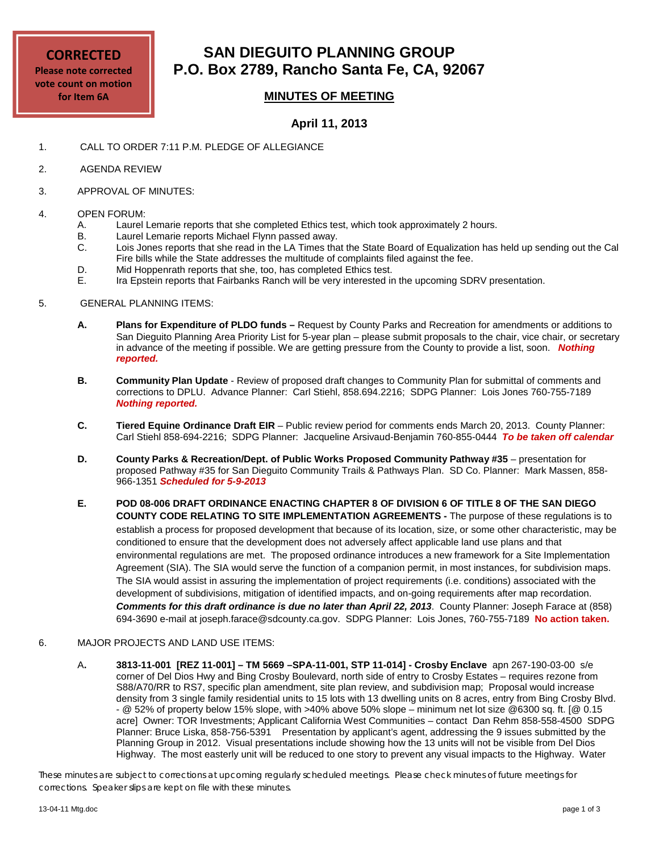#### **CORRECTED Please note corrected vote count on motion for Item 6A**

## **SAN DIEGUITO PLANNING GROUP P.O. Box 2789, Rancho Santa Fe, CA, 92067**

### **MINUTES OF MEETING**

#### **April 11, 2013**

- 1. CALL TO ORDER 7:11 P.M. PLEDGE OF ALLEGIANCE
- 2. AGENDA REVIEW
- 3. APPROVAL OF MINUTES:

# 4. **OPEN FORUM:**<br>A. Laurel

- A. Laurel Lemarie reports that she completed Ethics test, which took approximately 2 hours.<br>B. Laurel Lemarie reports Michael Flynn passed away.
- Laurel Lemarie reports Michael Flynn passed away.
- C. Lois Jones reports that she read in the LA Times that the State Board of Equalization has held up sending out the Cal Fire bills while the State addresses the multitude of complaints filed against the fee.
- D. Mid Hoppenrath reports that she, too, has completed Ethics test.<br>E. Ira Epstein reports that Fairbanks Ranch will be very interested in
- Ira Epstein reports that Fairbanks Ranch will be very interested in the upcoming SDRV presentation.
- 5. GENERAL PLANNING ITEMS:
	- **A. Plans for Expenditure of PLDO funds –** Request by County Parks and Recreation for amendments or additions to San Dieguito Planning Area Priority List for 5-year plan – please submit proposals to the chair, vice chair, or secretary in advance of the meeting if possible. We are getting pressure from the County to provide a list, soon.*Nothing reported.*
	- **B. Community Plan Update** Review of proposed draft changes to Community Plan for submittal of comments and corrections to DPLU. Advance Planner: Carl Stiehl, 858.694.2216; SDPG Planner: Lois Jones 760-755-7189 *Nothing reported.*
	- **C. Tiered Equine Ordinance Draft EIR**  Public review period for comments ends March 20, 2013. County Planner: Carl Stiehl 858-694-2216; SDPG Planner: Jacqueline Arsivaud-Benjamin 760-855-0444 *To be taken off calendar*
	- **D. County Parks & Recreation/Dept. of Public Works Proposed Community Pathway #35** presentation for proposed Pathway #35 for San Dieguito Community Trails & Pathways Plan. SD Co. Planner: Mark Massen, 858- 966-1351 *Scheduled for 5-9-2013*
	- **E. POD 08-006 DRAFT ORDINANCE ENACTING CHAPTER 8 OF DIVISION 6 OF TITLE 8 OF THE SAN DIEGO COUNTY CODE RELATING TO SITE IMPLEMENTATION AGREEMENTS -** The purpose of these regulations is to establish a process for proposed development that because of its location, size, or some other characteristic, may be conditioned to ensure that the development does not adversely affect applicable land use plans and that environmental regulations are met. The proposed ordinance introduces a new framework for a Site Implementation Agreement (SIA). The SIA would serve the function of a companion permit, in most instances, for subdivision maps. The SIA would assist in assuring the implementation of project requirements (i.e. conditions) associated with the development of subdivisions, mitigation of identified impacts, and on-going requirements after map recordation. *Comments for this draft ordinance is due no later than April 22, 2013*. County Planner: Joseph Farace at (858) 694-3690 e-mail at [joseph.farace@sdcounty.ca.gov.](mailto:joseph.farace@sdcounty.ca.gov) SDPG Planner: Lois Jones, 760-755-7189 **No action taken.**

#### 6. MAJOR PROJECTS AND LAND USE ITEMS:

A**. 3813-11-001 [REZ 11-001] – TM 5669 –SPA-11-001, STP 11-014] - Crosby Enclave** apn 267-190-03-00 s/e corner of Del Dios Hwy and Bing Crosby Boulevard, north side of entry to Crosby Estates – requires rezone from S88/A70/RR to RS7, specific plan amendment, site plan review, and subdivision map; Proposal would increase density from 3 single family residential units to 15 lots with 13 dwelling units on 8 acres, entry from Bing Crosby Blvd. - @ 52% of property below 15% slope, with >40% above 50% slope – minimum net lot size @6300 sq. ft. [@ 0.15 acre] Owner: TOR Investments; Applicant California West Communities – contact Dan Rehm 858-558-4500 SDPG Planner: Bruce Liska, 858-756-5391 Presentation by applicant's agent, addressing the 9 issues submitted by the Planning Group in 2012. Visual presentations include showing how the 13 units will not be visible from Del Dios Highway. The most easterly unit will be reduced to one story to prevent any visual impacts to the Highway. Water

*These minutes are subject to corrections at upcoming regularly scheduled meetings. Please check minutes of future meetings for corrections. Speaker slips are kept on file with these minutes.*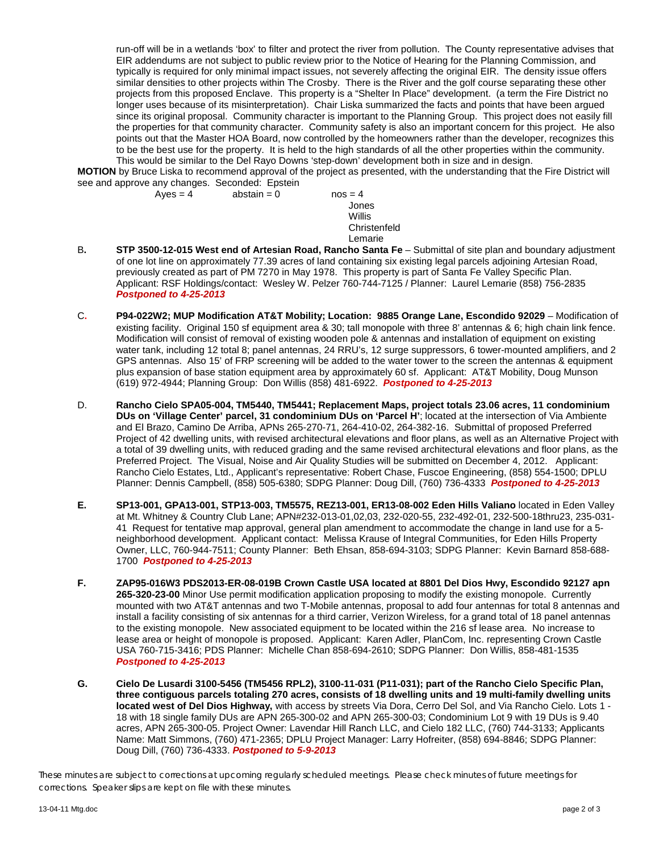run-off will be in a wetlands 'box' to filter and protect the river from pollution. The County representative advises that EIR addendums are not subject to public review prior to the Notice of Hearing for the Planning Commission, and typically is required for only minimal impact issues, not severely affecting the original EIR. The density issue offers similar densities to other projects within The Crosby. There is the River and the golf course separating these other projects from this proposed Enclave. This property is a "Shelter In Place" development. (a term the Fire District no longer uses because of its misinterpretation). Chair Liska summarized the facts and points that have been argued since its original proposal. Community character is important to the Planning Group. This project does not easily fill the properties for that community character. Community safety is also an important concern for this project. He also points out that the Master HOA Board, now controlled by the homeowners rather than the developer, recognizes this to be the best use for the property. It is held to the high standards of all the other properties within the community. This would be similar to the Del Rayo Downs 'step-down' development both in size and in design.

**MOTION** by Bruce Liska to recommend approval of the project as presented, with the understanding that the Fire District will see and approve any changes. Seconded: Epstein<br>Ayes = 4 abstain = 0

 $abstain = 0$  nos = 4 Jones Willis Christenfeld Lemarie

- B**. STP 3500-12-015 West end of Artesian Road, Rancho Santa Fe** Submittal of site plan and boundary adjustment of one lot line on approximately 77.39 acres of land containing six existing legal parcels adjoining Artesian Road, previously created as part of PM 7270 in May 1978. This property is part of Santa Fe Valley Specific Plan. Applicant: RSF Holdings/contact: Wesley W. Pelzer 760-744-7125 / Planner: Laurel Lemarie (858) 756-2835 *Postponed to 4-25-2013*
- C**. P94-022W2; MUP Modification AT&T Mobility; Location: 9885 Orange Lane, Escondido 92029** Modification of existing facility. Original 150 sf equipment area & 30; tall monopole with three 8' antennas & 6; high chain link fence. Modification will consist of removal of existing wooden pole & antennas and installation of equipment on existing water tank, including 12 total 8; panel antennas, 24 RRU's, 12 surge suppressors, 6 tower-mounted amplifiers, and 2 GPS antennas. Also 15' of FRP screening will be added to the water tower to the screen the antennas & equipment plus expansion of base station equipment area by approximately 60 sf. Applicant: AT&T Mobility, Doug Munson (619) 972-4944; Planning Group: Don Willis (858) 481-6922. *Postponed to 4-25-2013*
- D. **Rancho Cielo SPA05-004, TM5440, TM5441; Replacement Maps, project totals 23.06 acres, 11 condominium DUs on 'Village Center' parcel, 31 condominium DUs on 'Parcel H'**; located at the intersection of Via Ambiente and El Brazo, Camino De Arriba, APNs 265-270-71, 264-410-02, 264-382-16. Submittal of proposed Preferred Project of 42 dwelling units, with revised architectural elevations and floor plans, as well as an Alternative Project with a total of 39 dwelling units, with reduced grading and the same revised architectural elevations and floor plans, as the Preferred Project. The Visual, Noise and Air Quality Studies will be submitted on December 4, 2012. Applicant: Rancho Cielo Estates, Ltd., Applicant's representative: Robert Chase, Fuscoe Engineering, (858) 554-1500; DPLU Planner: Dennis Campbell, (858) 505-6380; SDPG Planner: Doug Dill, (760) 736-4333 *Postponed to 4-25-2013*
- **E. SP13-001, GPA13-001, STP13-003, TM5575, REZ13-001, ER13-08-002 Eden Hills Valiano** located in Eden Valley at Mt. Whitney & Country Club Lane; APN#232-013-01,02,03, 232-020-55, 232-492-01, 232-500-18thru23, 235-031- 41 Request for tentative map approval, general plan amendment to accommodate the change in land use for a 5 neighborhood development. Applicant contact: Melissa Krause of Integral Communities, for Eden Hills Property Owner, LLC, 760-944-7511; County Planner: Beth Ehsan, 858-694-3103; SDPG Planner: Kevin Barnard 858-688- 1700 *Postponed to 4-25-2013*
- **F. ZAP95-016W3 PDS2013-ER-08-019B Crown Castle USA located at 8801 Del Dios Hwy, Escondido 92127 apn 265-320-23-00** Minor Use permit modification application proposing to modify the existing monopole. Currently mounted with two AT&T antennas and two T-Mobile antennas, proposal to add four antennas for total 8 antennas and install a facility consisting of six antennas for a third carrier, Verizon Wireless, for a grand total of 18 panel antennas to the existing monopole. New associated equipment to be located within the 216 sf lease area. No increase to lease area or height of monopole is proposed. Applicant: Karen Adler, PlanCom, Inc. representing Crown Castle USA 760-715-3416; PDS Planner: Michelle Chan 858-694-2610; SDPG Planner: Don Willis, 858-481-1535 *Postponed to 4-25-2013*
- **G. Cielo De Lusardi 3100-5456 (TM5456 RPL2), 3100-11-031 (P11-031); part of the Rancho Cielo Specific Plan, three contiguous parcels totaling 270 acres, consists of 18 dwelling units and 19 multi-family dwelling units located west of Del Dios Highway,** with access by streets Via Dora, Cerro Del Sol, and Via Rancho Cielo. Lots 1 - 18 with 18 single family DUs are APN 265-300-02 and APN 265-300-03; Condominium Lot 9 with 19 DUs is 9.40 acres, APN 265-300-05. Project Owner: Lavendar Hill Ranch LLC, and Cielo 182 LLC, (760) 744-3133; Applicants Name: Matt Simmons, (760) 471-2365; DPLU Project Manager: Larry Hofreiter, (858) 694-8846; SDPG Planner: Doug Dill, (760) 736-4333. *Postponed to 5-9-2013*

*These minutes are subject to corrections at upcoming regularly scheduled meetings. Please check minutes of future meetings for corrections. Speaker slips are kept on file with these minutes.*